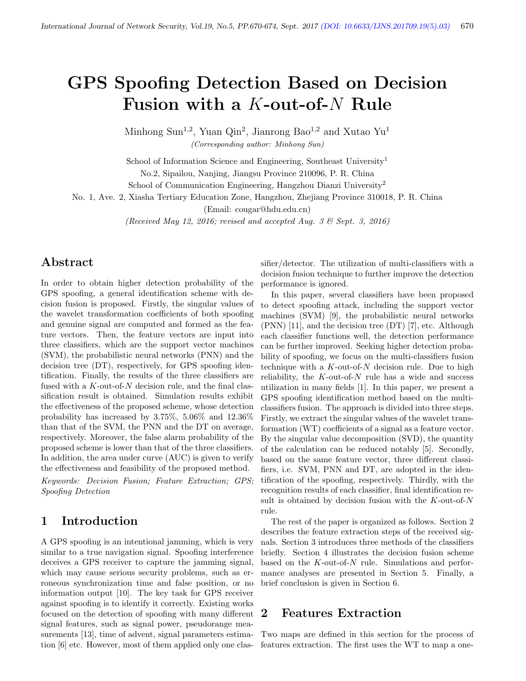# GPS Spoofing Detection Based on Decision Fusion with a K-out-of-N Rule

Minhong Sun<sup>1,2</sup>, Yuan Qin<sup>2</sup>, Jianrong Bao<sup>1,2</sup> and Xutao Yu<sup>1</sup> (Corresponding author: Minhong Sun)

School of Information Science and Engineering, Southeast University<sup>1</sup> No.2, Sipailou, Nanjing, Jiangsu Province 210096, P. R. China

School of Communication Engineering, Hangzhou Dianzi University<sup>2</sup>

No. 1, Ave. 2, Xiasha Tertiary Education Zone, Hangzhou, Zhejiang Province 310018, P. R. China

(Email: cougar@hdu.edu.cn)

(Received May 12, 2016; revised and accepted Aug. 3  $\mathcal{B}$  Sept. 3, 2016)

## Abstract

In order to obtain higher detection probability of the GPS spoofing, a general identification scheme with decision fusion is proposed. Firstly, the singular values of the wavelet transformation coefficients of both spoofing and genuine signal are computed and formed as the feature vectors. Then, the feature vectors are input into three classifiers, which are the support vector machines (SVM), the probabilistic neural networks (PNN) and the decision tree (DT), respectively, for GPS spoofing identification. Finally, the results of the three classifiers are fused with a  $K$ -out-of- $N$  decision rule, and the final classification result is obtained. Simulation results exhibit the effectiveness of the proposed scheme, whose detection probability has increased by 3.75%, 5.06% and 12.36% than that of the SVM, the PNN and the DT on average, respectively. Moreover, the false alarm probability of the proposed scheme is lower than that of the three classifiers. In addition, the area under curve (AUC) is given to verify the effectiveness and feasibility of the proposed method.

Keywords: Decision Fusion; Feature Extraction; GPS; Spoofing Detection

## 1 Introduction

A GPS spoofing is an intentional jamming, which is very similar to a true navigation signal. Spoofing interference deceives a GPS receiver to capture the jamming signal, which may cause serious security problems, such as erroneous synchronization time and false position, or no information output [10]. The key task for GPS receiver against spoofing is to identify it correctly. Existing works focused on the detection of spoofing with many different signal features, such as signal power, pseudorange measurements [13], time of advent, signal parameters estimation [6] etc. However, most of them applied only one clas-

sifier/detector. The utilization of multi-classifiers with a decision fusion technique to further improve the detection performance is ignored.

In this paper, several classifiers have been proposed to detect spoofing attack, including the support vector machines (SVM) [9], the probabilistic neural networks (PNN) [11], and the decision tree (DT) [7], etc. Although each classifier functions well, the detection performance can be further improved. Seeking higher detection probability of spoofing, we focus on the multi-classifiers fusion technique with a  $K$ -out-of-N decision rule. Due to high reliability, the  $K$ -out-of- $N$  rule has a wide and success utilization in many fields [1]. In this paper, we present a GPS spoofing identification method based on the multiclassifiers fusion. The approach is divided into three steps. Firstly, we extract the singular values of the wavelet transformation (WT) coefficients of a signal as a feature vector. By the singular value decomposition (SVD), the quantity of the calculation can be reduced notably [5]. Secondly, based on the same feature vector, three different classifiers, i.e. SVM, PNN and DT, are adopted in the identification of the spoofing, respectively. Thirdly, with the recognition results of each classifier, final identification result is obtained by decision fusion with the  $K$ -out-of- $N$ rule.

The rest of the paper is organized as follows. Section 2 describes the feature extraction steps of the received signals. Section 3 introduces three methods of the classifiers briefly. Section 4 illustrates the decision fusion scheme based on the K-out-of-N rule. Simulations and performance analyses are presented in Section 5. Finally, a brief conclusion is given in Section 6.

#### 2 Features Extraction

Two maps are defined in this section for the process of features extraction. The first uses the WT to map a one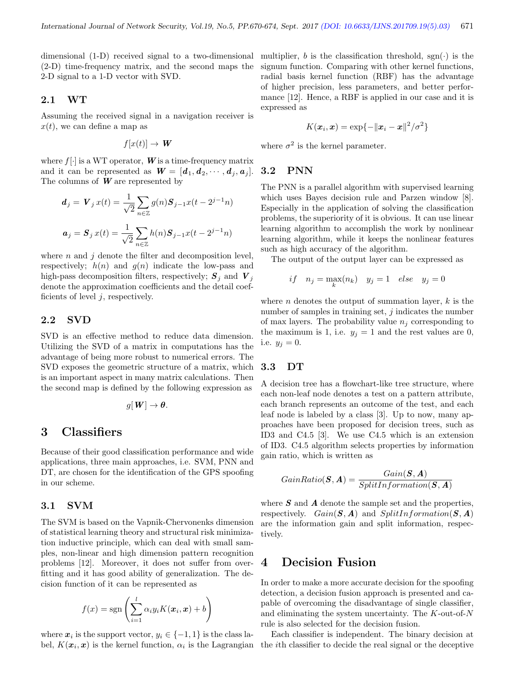dimensional (1-D) received signal to a two-dimensional (2-D) time-frequency matrix, and the second maps the 2-D signal to a 1-D vector with SVD.

#### 2.1 WT

Assuming the received signal in a navigation receiver is  $x(t)$ , we can define a map as

$$
f[x(t)] \to W
$$

where  $f[\cdot]$  is a WT operator, **W** is a time-frequency matrix and it can be represented as  $W = [d_1, d_2, \cdots, d_i, a_i].$ The columns of  $W$  are represented by

$$
d_j = V_j x(t) = \frac{1}{\sqrt{2}} \sum_{n \in \mathbb{Z}} g(n) S_{j-1} x(t - 2^{j-1} n)
$$
  

$$
a_j = S_j x(t) = \frac{1}{\sqrt{2}} \sum_{n \in \mathbb{Z}} h(n) S_{j-1} x(t - 2^{j-1} n)
$$

where  $n$  and  $j$  denote the filter and decomposition level, respectively;  $h(n)$  and  $g(n)$  indicate the low-pass and high-pass decomposition filters, respectively;  $S_i$  and  $V_j$ denote the approximation coefficients and the detail coefficients of level  $j$ , respectively.

#### 2.2 SVD

SVD is an effective method to reduce data dimension. Utilizing the SVD of a matrix in computations has the advantage of being more robust to numerical errors. The SVD exposes the geometric structure of a matrix, which is an important aspect in many matrix calculations. Then the second map is defined by the following expression as

$$
g[\boldsymbol{W}] \to \boldsymbol{\theta}.
$$

## 3 Classifiers

Because of their good classification performance and wide applications, three main approaches, i.e. SVM, PNN and DT, are chosen for the identification of the GPS spoofing in our scheme.

#### 3.1 SVM

The SVM is based on the Vapnik-Chervonenks dimension of statistical learning theory and structural risk minimization inductive principle, which can deal with small samples, non-linear and high dimension pattern recognition problems [12]. Moreover, it does not suffer from overfitting and it has good ability of generalization. The decision function of it can be represented as

$$
f(x) = \text{sgn}\left(\sum_{i=1}^{l} \alpha_i y_i K(\boldsymbol{x}_i, \boldsymbol{x}) + b\right)
$$

where  $x_i$  is the support vector,  $y_i \in \{-1, 1\}$  is the class la-

multiplier, b is the classification threshold,  $sgn(\cdot)$  is the signum function. Comparing with other kernel functions, radial basis kernel function (RBF) has the advantage of higher precision, less parameters, and better performance [12]. Hence, a RBF is applied in our case and it is expressed as

$$
K(\boldsymbol{x}_i, \boldsymbol{x}) = \exp\{-\|\boldsymbol{x}_i - \boldsymbol{x}\|^2/\sigma^2\}
$$

where  $\sigma^2$  is the kernel parameter.

#### 3.2 PNN

The PNN is a parallel algorithm with supervised learning which uses Bayes decision rule and Parzen window [8]. Especially in the application of solving the classification problems, the superiority of it is obvious. It can use linear learning algorithm to accomplish the work by nonlinear learning algorithm, while it keeps the nonlinear features such as high accuracy of the algorithm.

The output of the output layer can be expressed as

$$
if \t n_j = \max_k(n_k) \t y_j = 1 \t else \t y_j = 0
$$

where *n* denotes the output of summation layer,  $k$  is the number of samples in training set,  $j$  indicates the number of max layers. The probability value  $n_j$  corresponding to the maximum is 1, i.e.  $y_j = 1$  and the rest values are 0, i.e.  $y_j = 0$ .

#### 3.3 DT

A decision tree has a flowchart-like tree structure, where each non-leaf node denotes a test on a pattern attribute, each branch represents an outcome of the test, and each leaf node is labeled by a class [3]. Up to now, many approaches have been proposed for decision trees, such as ID3 and C4.5 [3]. We use C4.5 which is an extension of ID3. C4.5 algorithm selects properties by information gain ratio, which is written as

$$
GainRatio(\boldsymbol{S}, \boldsymbol{A}) = \frac{Gain(\boldsymbol{S}, \boldsymbol{A})}{SplitInformation(\boldsymbol{S}, \boldsymbol{A})}
$$

where  $S$  and  $\vec{A}$  denote the sample set and the properties, respectively.  $Gain(S, A)$  and  $SplitInformation(S, A)$ are the information gain and split information, respectively.

## 4 Decision Fusion

In order to make a more accurate decision for the spoofing detection, a decision fusion approach is presented and capable of overcoming the disadvantage of single classifier, and eliminating the system uncertainty. The  $K$ -out-of- $N$ rule is also selected for the decision fusion.

bel,  $K(\mathbf{x}_i, \mathbf{x})$  is the kernel function,  $\alpha_i$  is the Lagrangian the *i*th classifier to decide the real signal or the deceptive Each classifier is independent. The binary decision at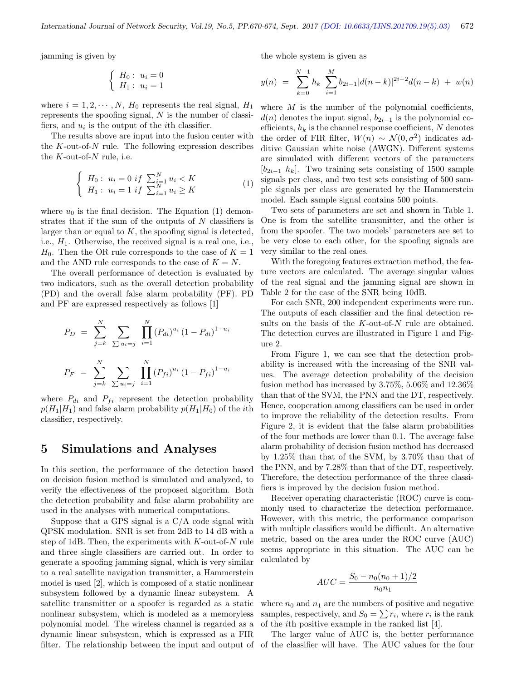jamming is given by

the whole system is given as

$$
\left\{\begin{array}{ll}H_0: \ u_i=0\\H_1: \ u_i=1\end{array}\right.
$$

where  $i = 1, 2, \dots, N$ ,  $H_0$  represents the real signal,  $H_1$ represents the spoofing signal, N is the number of classifiers, and  $u_i$  is the output of the *i*<sup>th</sup> classifier.

The results above are input into the fusion center with the  $K$ -out-of- $N$  rule. The following expression describes the  $K$ -out-of- $N$  rule, i.e.

$$
\begin{cases}\nH_0: u_i = 0 \text{ if } \sum_{i=1}^N u_i < K \\
H_1: u_i = 1 \text{ if } \sum_{i=1}^N u_i \ge K\n\end{cases} \tag{1}
$$

where  $u_0$  is the final decision. The Equation (1) demonstrates that if the sum of the outputs of  $N$  classifiers is larger than or equal to  $K$ , the spoofing signal is detected, i.e.,  $H_1$ . Otherwise, the received signal is a real one, i.e.,  $H_0$ . Then the OR rule corresponds to the case of  $K = 1$ and the AND rule corresponds to the case of  $K = N$ .

The overall performance of detection is evaluated by two indicators, such as the overall detection probability (PD) and the overall false alarm probability (PF). PD and PF are expressed respectively as follows [1]

$$
P_D = \sum_{j=k}^{N} \sum_{\sum u_i=j} \prod_{i=1}^{N} (P_{di})^{u_i} (1 - P_{di})^{1 - u_i}
$$

$$
P_F = \sum_{j=k}^{N} \sum_{\sum u_i=j} \prod_{i=1}^{N} (P_{fi})^{u_i} (1 - P_{fi})^{1 - u_i}
$$

where  $P_{di}$  and  $P_{fi}$  represent the detection probability  $p(H_1|H_1)$  and false alarm probability  $p(H_1|H_0)$  of the *i*th classifier, respectively.

### 5 Simulations and Analyses

In this section, the performance of the detection based on decision fusion method is simulated and analyzed, to verify the effectiveness of the proposed algorithm. Both the detection probability and false alarm probability are used in the analyses with numerical computations.

Suppose that a GPS signal is a  $C/A$  code signal with QPSK modulation. SNR is set from 2dB to 14 dB with a step of 1dB. Then, the experiments with  $K$ -out-of-N rule and three single classifiers are carried out. In order to generate a spoofing jamming signal, which is very similar to a real satellite navigation transmitter, a Hammerstein model is used [2], which is composed of a static nonlinear subsystem followed by a dynamic linear subsystem. A satellite transmitter or a spoofer is regarded as a static nonlinear subsystem, which is modeled as a memoryless polynomial model. The wireless channel is regarded as a dynamic linear subsystem, which is expressed as a FIR filter. The relationship between the input and output of

$$
y(n) = \sum_{k=0}^{N-1} h_k \sum_{i=1}^{M} b_{2i-1} |d(n-k)|^{2i-2} d(n-k) + w(n)
$$

where  $M$  is the number of the polynomial coefficients,  $d(n)$  denotes the input signal,  $b_{2i-1}$  is the polynomial coefficients,  $h_k$  is the channel response coefficient, N denotes the order of FIR filter,  $W(n) \sim \mathcal{N}(0, \sigma^2)$  indicates additive Gaussian white noise (AWGN). Different systems are simulated with different vectors of the parameters  $[b_{2i-1}, h_k]$ . Two training sets consisting of 1500 sample signals per class, and two test sets consisting of 500 sample signals per class are generated by the Hammerstein model. Each sample signal contains 500 points.

Two sets of parameters are set and shown in Table 1. One is from the satellite transmitter, and the other is from the spoofer. The two models' parameters are set to be very close to each other, for the spoofing signals are very similar to the real ones.

With the foregoing features extraction method, the feature vectors are calculated. The average singular values of the real signal and the jamming signal are shown in Table 2 for the case of the SNR being 10dB.

For each SNR, 200 independent experiments were run. The outputs of each classifier and the final detection results on the basis of the K-out-of-N rule are obtained. The detection curves are illustrated in Figure 1 and Figure 2.

From Figure 1, we can see that the detection probability is increased with the increasing of the SNR values. The average detection probability of the decision fusion method has increased by 3.75%, 5.06% and 12.36% than that of the SVM, the PNN and the DT, respectively. Hence, cooperation among classifiers can be used in order to improve the reliability of the detection results. From Figure 2, it is evident that the false alarm probabilities of the four methods are lower than 0.1. The average false alarm probability of decision fusion method has decreased by 1.25% than that of the SVM, by 3.70% than that of the PNN, and by 7.28% than that of the DT, respectively. Therefore, the detection performance of the three classifiers is improved by the decision fusion method.

Receiver operating characteristic (ROC) curve is commonly used to characterize the detection performance. However, with this metric, the performance comparison with multiple classifiers would be difficult. An alternative metric, based on the area under the ROC curve (AUC) seems appropriate in this situation. The AUC can be calculated by

$$
AUC = \frac{S_0 - n_0(n_0 + 1)/2}{n_0 n_1}
$$

where  $n_0$  and  $n_1$  are the numbers of positive and negative samples, respectively, and  $S_0 = \sum r_i$ , where  $r_i$  is the rank of the ith positive example in the ranked list [4].

The larger value of AUC is, the better performance of the classifier will have. The AUC values for the four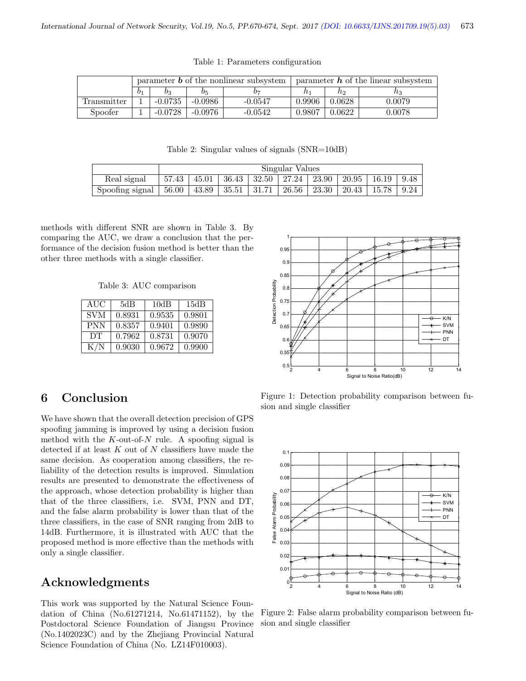|             | parameter $\boldsymbol{b}$ of the nonlinear subsystem |           |           |           | parameter $h$ of the linear subsystem |        |        |  |
|-------------|-------------------------------------------------------|-----------|-----------|-----------|---------------------------------------|--------|--------|--|
|             | b1                                                    | 03        | O5        | 07        |                                       | no     | nз     |  |
| Transmitter |                                                       | $-0.0735$ | $-0.0986$ | -0.0547   | 0.9906                                | 0.0628 | 0.0079 |  |
| Spoofer     |                                                       | $-0.0728$ | $-0.0976$ | $-0.0542$ | 0.9807                                | 0.0622 | 0.0078 |  |

Table 1: Parameters configuration

Table 2: Singular values of signals (SNR=10dB)

|                                     | Singular Values |  |                             |  |         |                       |                                                                     |      |
|-------------------------------------|-----------------|--|-----------------------------|--|---------|-----------------------|---------------------------------------------------------------------|------|
| Real signal                         | 57.43           |  |                             |  |         |                       | $45.01$   $36.43$   $32.50$   $27.24$   $23.90$   $20.95$   $16.19$ | 9.48 |
| Spoofing signal $\vert 56.00 \vert$ |                 |  | $43.89$   $35.51$   $31.71$ |  | 26.56 l | $\vert$ 23.30 $\vert$ | $\mid$ 20.43 $\mid$ 15.78                                           | 9.24 |

methods with different SNR are shown in Table 3. By comparing the AUC, we draw a conclusion that the performance of the decision fusion method is better than the other three methods with a single classifier.

Table 3: AUC comparison

| AUC        | 5dB    | 10dB   | 15dB   |
|------------|--------|--------|--------|
| <b>SVM</b> | 0.8931 | 0.9535 | 0.9801 |
| <b>PNN</b> | 0.8357 | 0.9401 | 0.9890 |
| DТ         | 0.7962 | 0.8731 | 0.9070 |
| K/N        | 0.9030 | 0.9672 | 0.9900 |



# 6 Conclusion

We have shown that the overall detection precision of GPS spoofing jamming is improved by using a decision fusion method with the  $K$ -out-of- $N$  rule. A spoofing signal is detected if at least  $K$  out of  $N$  classifiers have made the same decision. As cooperation among classifiers, the reliability of the detection results is improved. Simulation results are presented to demonstrate the effectiveness of the approach, whose detection probability is higher than that of the three classifiers, i.e. SVM, PNN and DT, and the false alarm probability is lower than that of the three classifiers, in the case of SNR ranging from 2dB to 14dB. Furthermore, it is illustrated with AUC that the proposed method is more effective than the methods with only a single classifier.

# Acknowledgments

This work was supported by the Natural Science Foundation of China (No.61271214, No.61471152), by the Postdoctoral Science Foundation of Jiangsu Province (No.1402023C) and by the Zhejiang Provincial Natural Science Foundation of China (No. LZ14F010003).

Figure 1: Detection probability comparison between fusion and single classifier



Figure 2: False alarm probability comparison between fusion and single classifier